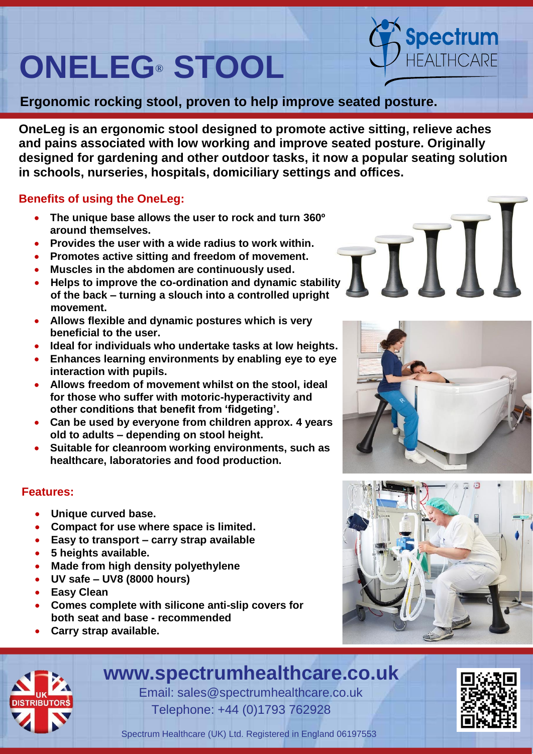# **ONELEG® STOOL** ®

**Ergonomic rocking stool, proven to help improve seated posture.**

**OneLeg is an ergonomic stool designed to promote active sitting, relieve aches and pains associated with low working and improve seated posture. Originally designed for gardening and other outdoor tasks, it now a popular seating solution in schools, nurseries, hospitals, domiciliary settings and offices.**

## **Benefits of using the OneLeg:**

- **The unique base allows the user to rock and turn 360º around themselves.**
- **Provides the user with a wide radius to work within.**
- **Promotes active sitting and freedom of movement.**
- **Muscles in the abdomen are continuously used.**
- **Helps to improve the co-ordination and dynamic stability of the back – turning a slouch into a controlled upright movement.**
- **Allows flexible and dynamic postures which is very beneficial to the user.**
- **Ideal for individuals who undertake tasks at low heights.**
- **Enhances learning environments by enabling eye to eye interaction with pupils.**
- **Allows freedom of movement whilst on the stool, ideal for those who suffer with motoric-hyperactivity and other conditions that benefit from 'fidgeting'.**
- **Can be used by everyone from children approx. 4 years old to adults – depending on stool height.**
- **Suitable for cleanroom working environments, such as healthcare, laboratories and food production.**

## **Features:**

- **Unique curved base.**
- **Compact for use where space is limited.**
- **Easy to transport – carry strap available**
- **5 heights available.**
- **Made from high density polyethylene**
- **UV safe – UV8 (8000 hours)**
- **Easy Clean**

ľ

- **Comes complete with silicone anti-slip covers for both seat and base - recommended**
- **Carry strap available.**

# **www.spectrumhealthcare.co.uk**

 Email: sales@spectrumhealthcare.co.uk Telephone: +44 (0)1793 762928



Spectrum Healthcare (UK) Ltd. Registered in England 06197553